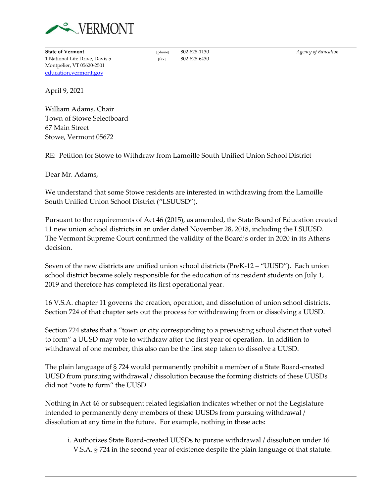

**State of Vermont** [phone] 802-828-1130 *Agency of Education* 1 National Life Drive, Davis 5 [fax] 802-828-6430 Montpelier, VT 05620-2501 [education.vermont.gov](http://education.vermont.gov/)

April 9, 2021

William Adams, Chair Town of Stowe Selectboard 67 Main Street Stowe, Vermont 05672

RE: Petition for Stowe to Withdraw from Lamoille South Unified Union School District

Dear Mr. Adams,

We understand that some Stowe residents are interested in withdrawing from the Lamoille South Unified Union School District ("LSUUSD").

Pursuant to the requirements of Act 46 (2015), as amended, the State Board of Education created 11 new union school districts in an order dated November 28, 2018, including the LSUUSD. The Vermont Supreme Court confirmed the validity of the Board's order in 2020 in its Athens decision.

Seven of the new districts are unified union school districts (PreK-12 – "UUSD"). Each union school district became solely responsible for the education of its resident students on July 1, 2019 and therefore has completed its first operational year.

16 V.S.A. chapter 11 governs the creation, operation, and dissolution of union school districts. Section 724 of that chapter sets out the process for withdrawing from or dissolving a UUSD.

Section 724 states that a "town or city corresponding to a preexisting school district that voted to form" a UUSD may vote to withdraw after the first year of operation. In addition to withdrawal of one member, this also can be the first step taken to dissolve a UUSD.

The plain language of § 724 would permanently prohibit a member of a State Board-created UUSD from pursuing withdrawal / dissolution because the forming districts of these UUSDs did not "vote to form" the UUSD.

Nothing in Act 46 or subsequent related legislation indicates whether or not the Legislature intended to permanently deny members of these UUSDs from pursuing withdrawal / dissolution at any time in the future. For example, nothing in these acts:

i. Authorizes State Board-created UUSDs to pursue withdrawal / dissolution under 16 V.S.A. § 724 in the second year of existence despite the plain language of that statute.